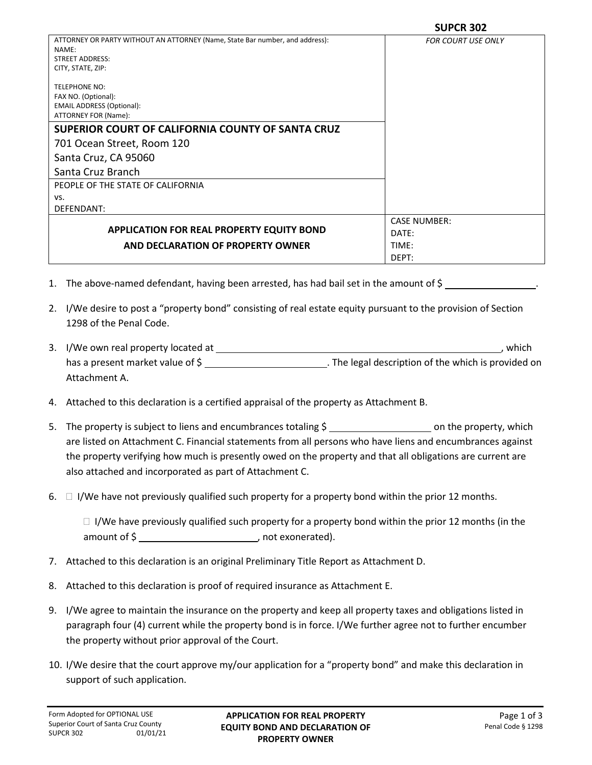| ATTORNEY OR PARTY WITHOUT AN ATTORNEY (Name, State Bar number, and address):<br>NAME:<br><b>STREET ADDRESS:</b><br>CITY, STATE, ZIP: | <b>FOR COURT USE ONLY</b> |
|--------------------------------------------------------------------------------------------------------------------------------------|---------------------------|
| <b>TELEPHONE NO:</b><br>FAX NO. (Optional):<br><b>EMAIL ADDRESS (Optional):</b><br>ATTORNEY FOR (Name):                              |                           |
| SUPERIOR COURT OF CALIFORNIA COUNTY OF SANTA CRUZ                                                                                    |                           |
| 701 Ocean Street, Room 120                                                                                                           |                           |
| Santa Cruz, CA 95060                                                                                                                 |                           |
| Santa Cruz Branch                                                                                                                    |                           |
| PEOPLE OF THE STATE OF CALIFORNIA                                                                                                    |                           |
| VS.                                                                                                                                  |                           |
| DEFENDANT:                                                                                                                           |                           |
|                                                                                                                                      | <b>CASE NUMBER:</b>       |
| <b>APPLICATION FOR REAL PROPERTY EQUITY BOND</b>                                                                                     | DATE:                     |
| AND DECLARATION OF PROPERTY OWNER                                                                                                    | TIME:                     |
|                                                                                                                                      | DEPT:                     |

- 1. The above-named defendant, having been arrested, has had bail set in the amount of \$ .
- 2. I/We desire to post a "property bond" consisting of real estate equity pursuant to the provision of Section 1298 of the Penal Code.
- 3. I/We own real property located at , which has a present market value of \$ \_\_\_\_\_\_\_\_\_\_\_\_\_\_\_\_\_\_\_\_\_\_\_\_\_\_\_\_\_\_\_. The legal description of the which is provided on Attachment A.
- 4. Attached to this declaration is a certified appraisal of the property as Attachment B.
- 5. The property is subject to liens and encumbrances totaling \$ on the property, which are listed on Attachment C. Financial statements from all persons who have liens and encumbrances against the property verifying how much is presently owed on the property and that all obligations are current are also attached and incorporated as part of Attachment C.
- 6.  $\Box$  I/We have not previously qualified such property for a property bond within the prior 12 months.

 $\Box$  I/We have previously qualified such property for a property bond within the prior 12 months (in the amount of \$ , not exonerated).

- 7. Attached to this declaration is an original Preliminary Title Report as Attachment D.
- 8. Attached to this declaration is proof of required insurance as Attachment E.
- 9. I/We agree to maintain the insurance on the property and keep all property taxes and obligations listed in paragraph four (4) current while the property bond is in force. I/We further agree not to further encumber the property without prior approval of the Court.
- 10. I/We desire that the court approve my/our application for a "property bond" and make this declaration in support of such application.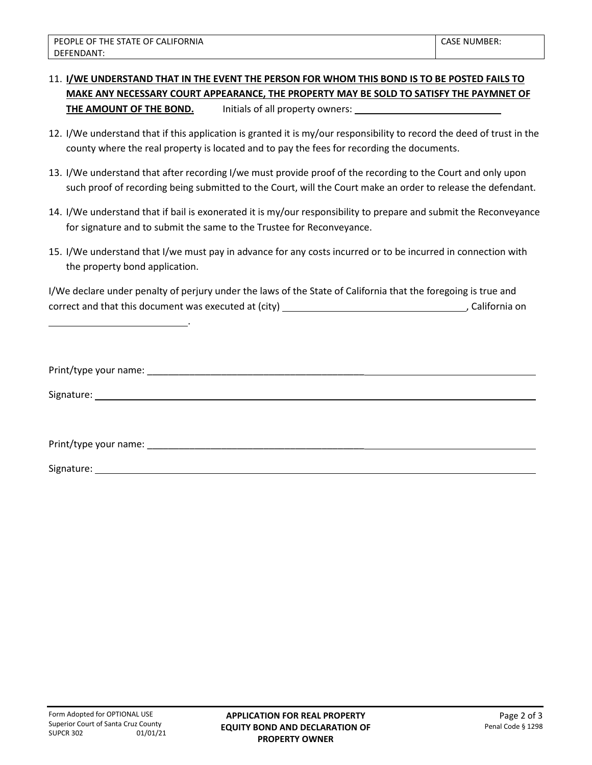## 11. **I/WE UNDERSTAND THAT IN THE EVENT THE PERSON FOR WHOM THIS BOND IS TO BE POSTED FAILS TO MAKE ANY NECESSARY COURT APPEARANCE, THE PROPERTY MAY BE SOLD TO SATISFY THE PAYMNET OF THE AMOUNT OF THE BOND.** Initials of all property owners:

- 12. I/We understand that if this application is granted it is my/our responsibility to record the deed of trust in the county where the real property is located and to pay the fees for recording the documents.
- 13. I/We understand that after recording I/we must provide proof of the recording to the Court and only upon such proof of recording being submitted to the Court, will the Court make an order to release the defendant.
- 14. I/We understand that if bail is exonerated it is my/our responsibility to prepare and submit the Reconveyance for signature and to submit the same to the Trustee for Reconveyance.
- 15. I/We understand that I/we must pay in advance for any costs incurred or to be incurred in connection with the property bond application.

I/We declare under penalty of perjury under the laws of the State of California that the foregoing is true and correct and that this document was executed at (city) , California on

.

| Print/type your name: |  |
|-----------------------|--|
|                       |  |

Signature: when the state of the state of the state of the state of the state of the state of the state of the state of the state of the state of the state of the state of the state of the state of the state of the state o

Print/type your name: \_\_\_\_\_\_\_\_\_\_\_\_\_\_\_\_\_\_\_\_\_\_\_\_\_\_\_\_\_\_\_\_\_\_\_\_\_\_\_\_\_

Signature: The contract of the contract of the contract of the contract of the contract of the contract of the contract of the contract of the contract of the contract of the contract of the contract of the contract of the